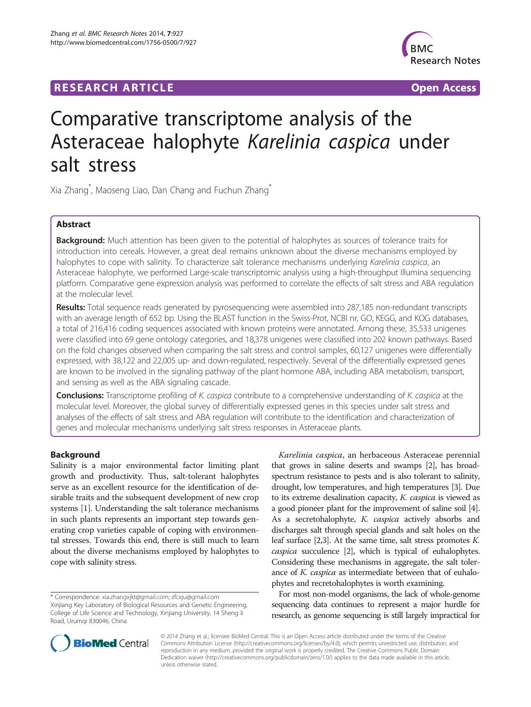## **RESEARCH ARTICLE Example 2014 CONSIDERING A RESEARCH ARTICLE**



# Comparative transcriptome analysis of the Asteraceae halophyte Karelinia caspica under salt stress

Xia Zhang $\degree$ , Maoseng Liao, Dan Chang and Fuchun Zhang $\degree$ 

## Abstract

Background: Much attention has been given to the potential of halophytes as sources of tolerance traits for introduction into cereals. However, a great deal remains unknown about the diverse mechanisms employed by halophytes to cope with salinity. To characterize salt tolerance mechanisms underlying Karelinia caspica, an Asteraceae halophyte, we performed Large-scale transcriptomic analysis using a high-throughput Illumina sequencing platform. Comparative gene expression analysis was performed to correlate the effects of salt stress and ABA regulation at the molecular level.

Results: Total sequence reads generated by pyrosequencing were assembled into 287,185 non-redundant transcripts with an average length of 652 bp. Using the BLAST function in the Swiss-Prot, NCBI nr, GO, KEGG, and KOG databases, a total of 216,416 coding sequences associated with known proteins were annotated. Among these, 35,533 unigenes were classified into 69 gene ontology categories, and 18,378 unigenes were classified into 202 known pathways. Based on the fold changes observed when comparing the salt stress and control samples, 60,127 unigenes were differentially expressed, with 38,122 and 22,005 up- and down-regulated, respectively. Several of the differentially expressed genes are known to be involved in the signaling pathway of the plant hormone ABA, including ABA metabolism, transport, and sensing as well as the ABA signaling cascade.

Conclusions: Transcriptome profiling of K. caspica contribute to a comprehensive understanding of K. caspica at the molecular level. Moreover, the global survey of differentially expressed genes in this species under salt stress and analyses of the effects of salt stress and ABA regulation will contribute to the identification and characterization of genes and molecular mechanisms underlying salt stress responses in Asteraceae plants.

## Background

Salinity is a major environmental factor limiting plant growth and productivity. Thus, salt-tolerant halophytes serve as an excellent resource for the identification of desirable traits and the subsequent development of new crop systems [[1](#page-7-0)]. Understanding the salt tolerance mechanisms in such plants represents an important step towards generating crop varieties capable of coping with environmental stresses. Towards this end, there is still much to learn about the diverse mechanisms employed by halophytes to cope with salinity stress.

\* Correspondence: [xia.zhangxjkt@gmail.com](mailto:xia.zhangxjkt@gmail.com); [zfcxju@gmail.com](mailto:zfcxju@gmail.com) Xinjiang Key Laboratory of Biological Resources and Genetic Engineering, College of Life Science and Technology, Xinjiang University, 14 Sheng li Road, Urumqi 830046, China

Karelinia caspica, an herbaceous Asteraceae perennial that grows in saline deserts and swamps [[2](#page-7-0)], has broadspectrum resistance to pests and is also tolerant to salinity, drought, low temperatures, and high temperatures [\[3](#page-7-0)]. Due to its extreme desalination capacity, K. caspica is viewed as a good pioneer plant for the improvement of saline soil [[4](#page-7-0)]. As a secretohalophyte, K. caspica actively absorbs and discharges salt through special glands and salt holes on the leaf surface  $[2,3]$  $[2,3]$ . At the same time, salt stress promotes K. caspica succulence [[2](#page-7-0)], which is typical of euhalophytes. Considering these mechanisms in aggregate, the salt tolerance of K. caspica as intermediate between that of euhalophytes and recretohalophytes is worth examining.

For most non-model organisms, the lack of whole-genome sequencing data continues to represent a major hurdle for research, as genome sequencing is still largely impractical for



© 2014 Zhang et al.; licensee BioMed Central. This is an Open Access article distributed under the terms of the Creative Commons Attribution License [\(http://creativecommons.org/licenses/by/4.0\)](http://creativecommons.org/licenses/by/4.0), which permits unrestricted use, distribution, and reproduction in any medium, provided the original work is properly credited. The Creative Commons Public Domain Dedication waiver [\(http://creativecommons.org/publicdomain/zero/1.0/](http://creativecommons.org/publicdomain/zero/1.0/)) applies to the data made available in this article, unless otherwise stated.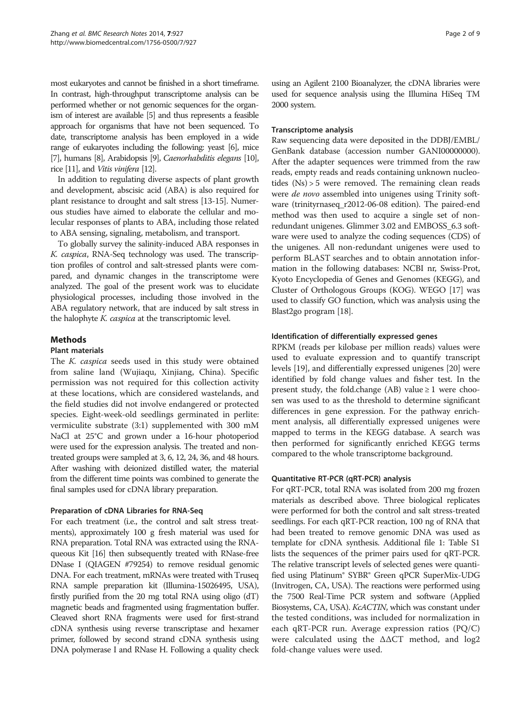most eukaryotes and cannot be finished in a short timeframe. In contrast, high-throughput transcriptome analysis can be performed whether or not genomic sequences for the organism of interest are available [\[5](#page-7-0)] and thus represents a feasible approach for organisms that have not been sequenced. To date, transcriptome analysis has been employed in a wide range of eukaryotes including the following: yeast [\[6](#page-7-0)], mice [[7](#page-7-0)], humans [\[8\]](#page-8-0), Arabidopsis [\[9\]](#page-8-0), Caenorhabditis elegans [\[10\]](#page-8-0), rice [\[11\]](#page-8-0), and Vitis vinifera [\[12\]](#page-8-0).

In addition to regulating diverse aspects of plant growth and development, abscisic acid (ABA) is also required for plant resistance to drought and salt stress [\[13-15\]](#page-8-0). Numerous studies have aimed to elaborate the cellular and molecular responses of plants to ABA, including those related to ABA sensing, signaling, metabolism, and transport.

To globally survey the salinity-induced ABA responses in K. caspica, RNA-Seq technology was used. The transcription profiles of control and salt-stressed plants were compared, and dynamic changes in the transcriptome were analyzed. The goal of the present work was to elucidate physiological processes, including those involved in the ABA regulatory network, that are induced by salt stress in the halophyte K. caspica at the transcriptomic level.

## Methods

#### Plant materials

The K. caspica seeds used in this study were obtained from saline land (Wujiaqu, Xinjiang, China). Specific permission was not required for this collection activity at these locations, which are considered wastelands, and the field studies did not involve endangered or protected species. Eight-week-old seedlings germinated in perlite: vermiculite substrate (3:1) supplemented with 300 mM NaCl at 25°C and grown under a 16-hour photoperiod were used for the expression analysis. The treated and nontreated groups were sampled at 3, 6, 12, 24, 36, and 48 hours. After washing with deionized distilled water, the material from the different time points was combined to generate the final samples used for cDNA library preparation.

#### Preparation of cDNA Libraries for RNA-Seq

For each treatment (i.e., the control and salt stress treatments), approximately 100 g fresh material was used for RNA preparation. Total RNA was extracted using the RNAqueous Kit [\[16](#page-8-0)] then subsequently treated with RNase-free DNase I (QIAGEN #79254) to remove residual genomic DNA. For each treatment, mRNAs were treated with Truseq RNA sample preparation kit (Illumina-15026495, USA), firstly purified from the 20 mg total RNA using oligo (dT) magnetic beads and fragmented using fragmentation buffer. Cleaved short RNA fragments were used for first-strand cDNA synthesis using reverse transcriptase and hexamer primer, followed by second strand cDNA synthesis using DNA polymerase I and RNase H. Following a quality check

using an Agilent 2100 Bioanalyzer, the cDNA libraries were used for sequence analysis using the Illumina HiSeq TM 2000 system.

## Transcriptome analysis

Raw sequencing data were deposited in the DDBJ/EMBL/ GenBank database (accession number GANI00000000). After the adapter sequences were trimmed from the raw reads, empty reads and reads containing unknown nucleotides (Ns) > 5 were removed. The remaining clean reads were *de novo* assembled into unigenes using Trinity software (trinityrnaseq\_r2012-06-08 edition). The paired-end method was then used to acquire a single set of nonredundant unigenes. Glimmer 3.02 and EMBOSS\_6.3 software were used to analyze the coding sequences (CDS) of the unigenes. All non-redundant unigenes were used to perform BLAST searches and to obtain annotation information in the following databases: NCBI nr, Swiss-Prot, Kyoto Encyclopedia of Genes and Genomes (KEGG), and Cluster of Orthologous Groups (KOG). WEGO [\[17\]](#page-8-0) was used to classify GO function, which was analysis using the Blast2go program [\[18\]](#page-8-0).

### Identification of differentially expressed genes

RPKM (reads per kilobase per million reads) values were used to evaluate expression and to quantify transcript levels [[19](#page-8-0)], and differentially expressed unigenes [[20](#page-8-0)] were identified by fold change values and fisher test. In the present study, the fold.change (AB) value  $\geq 1$  were choosen was used to as the threshold to determine significant differences in gene expression. For the pathway enrichment analysis, all differentially expressed unigenes were mapped to terms in the KEGG database. A search was then performed for significantly enriched KEGG terms compared to the whole transcriptome background.

## Quantitative RT-PCR (qRT-PCR) analysis

For qRT-PCR, total RNA was isolated from 200 mg frozen materials as described above. Three biological replicates were performed for both the control and salt stress-treated seedlings. For each qRT-PCR reaction, 100 ng of RNA that had been treated to remove genomic DNA was used as template for cDNA synthesis. Additional file [1:](#page-7-0) Table S1 lists the sequences of the primer pairs used for qRT-PCR. The relative transcript levels of selected genes were quantified using Platinum® SYBR® Green qPCR SuperMix-UDG (Invitrogen, CA, USA). The reactions were performed using the 7500 Real-Time PCR system and software (Applied Biosystems, CA, USA). KcACTIN, which was constant under the tested conditions, was included for normalization in each qRT-PCR run. Average expression ratios (PQ/C) were calculated using the ΔΔCT method, and log2 fold-change values were used.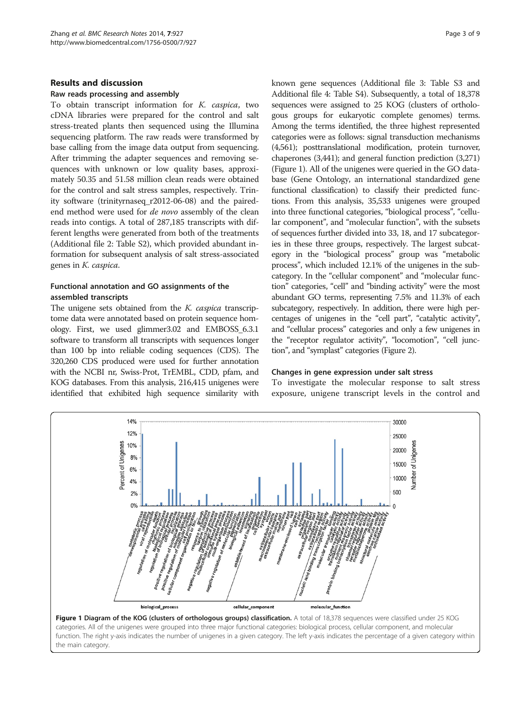### Results and discussion

#### Raw reads processing and assembly

To obtain transcript information for K. caspica, two cDNA libraries were prepared for the control and salt stress-treated plants then sequenced using the Illumina sequencing platform. The raw reads were transformed by base calling from the image data output from sequencing. After trimming the adapter sequences and removing sequences with unknown or low quality bases, approximately 50.35 and 51.58 million clean reads were obtained for the control and salt stress samples, respectively. Trinity software (trinityrnaseq\_r2012-06-08) and the pairedend method were used for de novo assembly of the clean reads into contigs. A total of 287,185 transcripts with different lengths were generated from both of the treatments (Additional file [2](#page-7-0): Table S2), which provided abundant information for subsequent analysis of salt stress-associated genes in K. caspica.

## Functional annotation and GO assignments of the assembled transcripts

The unigene sets obtained from the K. caspica transcriptome data were annotated based on protein sequence homology. First, we used glimmer3.02 and EMBOSS\_6.3.1 software to transform all transcripts with sequences longer than 100 bp into reliable coding sequences (CDS). The 320,260 CDS produced were used for further annotation with the NCBI nr, Swiss-Prot, TrEMBL, CDD, pfam, and KOG databases. From this analysis, 216,415 unigenes were identified that exhibited high sequence similarity with known gene sequences (Additional file [3:](#page-7-0) Table S3 and Additional file [4:](#page-7-0) Table S4). Subsequently, a total of 18,378 sequences were assigned to 25 KOG (clusters of orthologous groups for eukaryotic complete genomes) terms. Among the terms identified, the three highest represented categories were as follows: signal transduction mechanisms (4,561); posttranslational modification, protein turnover, chaperones (3,441); and general function prediction (3,271) (Figure 1). All of the unigenes were queried in the GO database (Gene Ontology, an international standardized gene functional classification) to classify their predicted functions. From this analysis, 35,533 unigenes were grouped into three functional categories, "biological process", "cellular component", and "molecular function", with the subsets of sequences further divided into 33, 18, and 17 subcategories in these three groups, respectively. The largest subcategory in the "biological process" group was "metabolic process", which included 12.1% of the unigenes in the subcategory. In the "cellular component" and "molecular function" categories, "cell" and "binding activity" were the most abundant GO terms, representing 7.5% and 11.3% of each subcategory, respectively. In addition, there were high percentages of unigenes in the "cell part", "catalytic activity", and "cellular process" categories and only a few unigenes in the "receptor regulator activity", "locomotion", "cell junction", and "symplast" categories (Figure [2](#page-3-0)).

#### Changes in gene expression under salt stress

To investigate the molecular response to salt stress exposure, unigene transcript levels in the control and



categories. All of the unigenes were grouped into three major functional categories: biological process, cellular component, and molecular function. The right y-axis indicates the number of unigenes in a given category. The left y-axis indicates the percentage of a given category within the main category.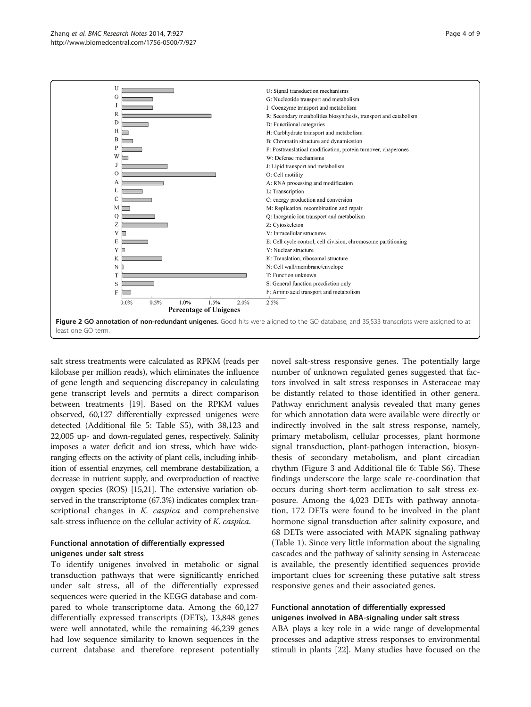<span id="page-3-0"></span>

salt stress treatments were calculated as RPKM (reads per kilobase per million reads), which eliminates the influence of gene length and sequencing discrepancy in calculating gene transcript levels and permits a direct comparison between treatments [\[19\]](#page-8-0). Based on the RPKM values observed, 60,127 differentially expressed unigenes were detected (Additional file [5](#page-7-0): Table S5), with 38,123 and 22,005 up- and down-regulated genes, respectively. Salinity imposes a water deficit and ion stress, which have wideranging effects on the activity of plant cells, including inhibition of essential enzymes, cell membrane destabilization, a decrease in nutrient supply, and overproduction of reactive oxygen species (ROS) [\[15,21](#page-8-0)]. The extensive variation observed in the transcriptome (67.3%) indicates complex transcriptional changes in *K. caspica* and comprehensive salt-stress influence on the cellular activity of *K. caspica*.

## Functional annotation of differentially expressed unigenes under salt stress

To identify unigenes involved in metabolic or signal transduction pathways that were significantly enriched under salt stress, all of the differentially expressed sequences were queried in the KEGG database and compared to whole transcriptome data. Among the 60,127 differentially expressed transcripts (DETs), 13,848 genes were well annotated, while the remaining 46,239 genes had low sequence similarity to known sequences in the current database and therefore represent potentially

novel salt-stress responsive genes. The potentially large number of unknown regulated genes suggested that factors involved in salt stress responses in Asteraceae may be distantly related to those identified in other genera. Pathway enrichment analysis revealed that many genes for which annotation data were available were directly or indirectly involved in the salt stress response, namely, primary metabolism, cellular processes, plant hormone signal transduction, plant-pathogen interaction, biosynthesis of secondary metabolism, and plant circadian rhythm (Figure [3](#page-4-0) and Additional file [6:](#page-7-0) Table S6). These findings underscore the large scale re-coordination that occurs during short-term acclimation to salt stress exposure. Among the 4,023 DETs with pathway annotation, 172 DETs were found to be involved in the plant hormone signal transduction after salinity exposure, and 68 DETs were associated with MAPK signaling pathway (Table [1](#page-4-0)). Since very little information about the signaling cascades and the pathway of salinity sensing in Asteraceae is available, the presently identified sequences provide important clues for screening these putative salt stress responsive genes and their associated genes.

## Functional annotation of differentially expressed unigenes involved in ABA-signaling under salt stress

ABA plays a key role in a wide range of developmental processes and adaptive stress responses to environmental stimuli in plants [[22](#page-8-0)]. Many studies have focused on the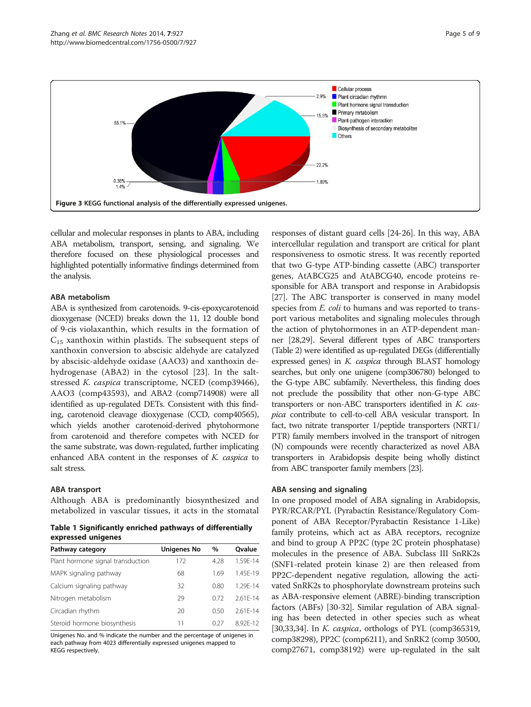<span id="page-4-0"></span>

cellular and molecular responses in plants to ABA, including ABA metabolism, transport, sensing, and signaling. We therefore focused on these physiological processes and highlighted potentially informative findings determined from the analysis.

#### ABA metabolism

ABA is synthesized from carotenoids. 9-cis-epoxycarotenoid dioxygenase (NCED) breaks down the 11, 12 double bond of 9-cis violaxanthin, which results in the formation of  $C_{15}$  xanthoxin within plastids. The subsequent steps of xanthoxin conversion to abscisic aldehyde are catalyzed by abscisic-aldehyde oxidase (AAO3) and xanthoxin dehydrogenase (ABA2) in the cytosol [[23\]](#page-8-0). In the saltstressed K. caspica transcriptome, NCED (comp39466), AAO3 (comp43593), and ABA2 (comp714908) were all identified as up-regulated DETs. Consistent with this finding, carotenoid cleavage dioxygenase (CCD, comp40565), which yields another carotenoid-derived phytohormone from carotenoid and therefore competes with NCED for the same substrate, was down-regulated, further implicating enhanced ABA content in the responses of K. caspica to salt stress.

#### ABA transport

Although ABA is predominantly biosynthesized and metabolized in vascular tissues, it acts in the stomatal

Table 1 Significantly enriched pathways of differentially expressed unigenes

| Pathway category                  | <b>Unigenes No</b> | $\%$ | Ovalue       |  |  |  |  |
|-----------------------------------|--------------------|------|--------------|--|--|--|--|
| Plant hormone signal transduction | 172                | 4.28 | 1.59F-14     |  |  |  |  |
| MAPK signaling pathway            | 68                 | 1.69 | 1.45F-19     |  |  |  |  |
| Calcium signaling pathway         | 32                 | 0.80 | 1.29F-14     |  |  |  |  |
| Nitrogen metabolism               | 29                 | 0.72 | $2.61F - 14$ |  |  |  |  |
| Circadian rhythm                  | 20                 | 0.50 | $2.61F - 14$ |  |  |  |  |
| Steroid hormone biosynthesis      | 11                 | 0.27 | 8.92F-12     |  |  |  |  |

Unigenes No. and % indicate the number and the percentage of unigenes in each pathway from 4023 differentially expressed unigenes mapped to KEGG respectively.

responses of distant guard cells [[24](#page-8-0)-[26\]](#page-8-0). In this way, ABA intercellular regulation and transport are critical for plant responsiveness to osmotic stress. It was recently reported that two G-type ATP-binding cassette (ABC) transporter genes, AtABCG25 and AtABCG40, encode proteins responsible for ABA transport and response in Arabidopsis [[27](#page-8-0)]. The ABC transporter is conserved in many model species from *E. coli* to humans and was reported to transport various metabolites and signaling molecules through the action of phytohormones in an ATP-dependent manner [[28,29\]](#page-8-0). Several different types of ABC transporters (Table [2\)](#page-5-0) were identified as up-regulated DEGs (differentially expressed genes) in K. caspica through BLAST homology searches, but only one unigene (comp306780) belonged to the G-type ABC subfamily. Nevertheless, this finding does not preclude the possibility that other non-G-type ABC transporters or non-ABC transporters identified in K. caspica contribute to cell-to-cell ABA vesicular transport. In fact, two nitrate transporter 1/peptide transporters (NRT1/ PTR) family members involved in the transport of nitrogen (N) compounds were recently characterized as novel ABA transporters in Arabidopsis despite being wholly distinct from ABC transporter family members [\[23](#page-8-0)].

## ABA sensing and signaling

In one proposed model of ABA signaling in Arabidopsis, PYR/RCAR/PYL (Pyrabactin Resistance/Regulatory Component of ABA Receptor/Pyrabactin Resistance 1-Like) family proteins, which act as ABA receptors, recognize and bind to group A PP2C (type 2C protein phosphatase) molecules in the presence of ABA. Subclass III SnRK2s (SNF1-related protein kinase 2) are then released from PP2C-dependent negative regulation, allowing the activated SnRK2s to phosphorylate downstream proteins such as ABA-responsive element (ABRE)-binding transcription factors (ABFs) [\[30](#page-8-0)-[32](#page-8-0)]. Similar regulation of ABA signaling has been detected in other species such as wheat [[30](#page-8-0),[33,34\]](#page-8-0). In *K. caspica*, orthologs of PYL (comp365319, comp38298), PP2C (comp6211), and SnRK2 (comp 30500, comp27671, comp38192) were up-regulated in the salt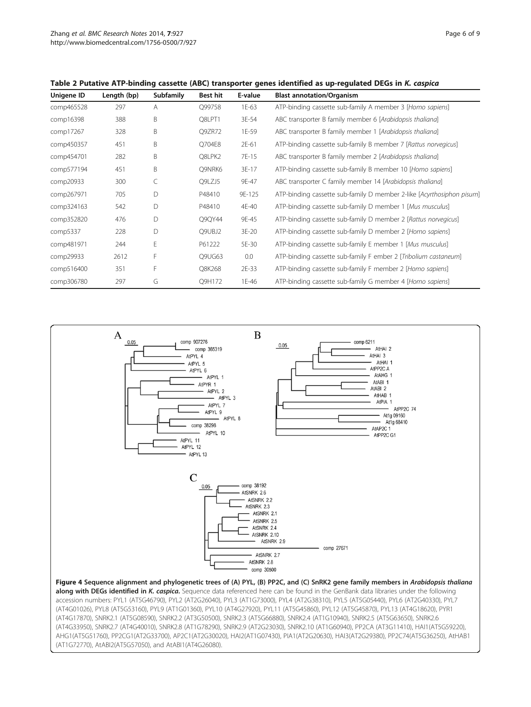| Unigene ID | Length (bp) | <b>Subfamily</b> | Best hit | E-value | <b>Blast annotation/Organism</b><br>ATP-binding cassette sub-family A member 3 [Homo sapiens] |  |
|------------|-------------|------------------|----------|---------|-----------------------------------------------------------------------------------------------|--|
| comp465528 | 297         | A                | Q99758   | 1E-63   |                                                                                               |  |
| comp16398  | 388         | B                | Q8LPT1   | 3E-54   | ABC transporter B family member 6 [Arabidopsis thaliana]                                      |  |
| comp17267  | 328         | B                | Q9ZR72   | 1E-59   | ABC transporter B family member 1 [Arabidopsis thaliana]                                      |  |
| comp450357 | 451         | B                | O704E8   | 2E-61   | ATP-binding cassette sub-family B member 7 [Rattus norvegicus]                                |  |
| comp454701 | 282         | B                | Q8LPK2   | 7E-15   | ABC transporter B family member 2 [Arabidopsis thaliana]                                      |  |
| comp577194 | 451         | B                | Q9NRK6   | 3E-17   | ATP-binding cassette sub-family B member 10 [Homo sapiens]                                    |  |
| comp20933  | 300         |                  | Q9LZJ5   | 9E-47   | ABC transporter C family member 14 [Arabidopsis thaliana]                                     |  |
| comp267971 | 705         | D                | P48410   | 9E-125  | ATP-binding cassette sub-family D member 2-like [Acyrthosiphon pisum]                         |  |
| comp324163 | 542         | D                | P48410   | 4E-40   | ATP-binding cassette sub-family D member 1 [Mus musculus]                                     |  |
| comp352820 | 476         | D                | Q9QY44   | 9E-45   | ATP-binding cassette sub-family D member 2 [Rattus norvegicus]                                |  |
| comp5337   | 228         | D                | Q9UBJ2   | 3E-20   | ATP-binding cassette sub-family D member 2 [Homo sapiens]                                     |  |
| comp481971 | 244         | Е                | P61222   | 5E-30   | ATP-binding cassette sub-family E member 1 [Mus musculus]                                     |  |
| comp29933  | 2612        | F                | Q9UG63   | 0.0     | ATP-binding cassette sub-family F ember 2 [Tribolium castaneum]                               |  |
| comp516400 | 351         | F                | Q8K268   | 2E-33   | ATP-binding cassette sub-family F member 2 [Homo sapiens]                                     |  |
| comp306780 | 297         | G                | Q9H172   | 1E-46   | ATP-binding cassette sub-family G member 4 [Homo sapiens]                                     |  |

## <span id="page-5-0"></span>Table 2 Putative ATP-binding cassette (ABC) transporter genes identified as up-regulated DEGs in K. caspica



(AT4G33950), SNRK2.7 (AT4G40010), SNRK2.8 (AT1G78290), SNRK2.9 (AT2G23030), SNRK2.10 (AT1G60940), PP2CA (AT3G11410), HAI1(AT5G59220), AHG1(AT5G51760), PP2CG1(AT2G33700), AP2C1(AT2G30020), HAI2(AT1G07430), PIA1(AT2G20630), HAI3(AT2G29380), PP2C74(AT5G36250), AtHAB1 (AT1G72770), AtABI2(AT5G57050), and AtABI1(AT4G26080).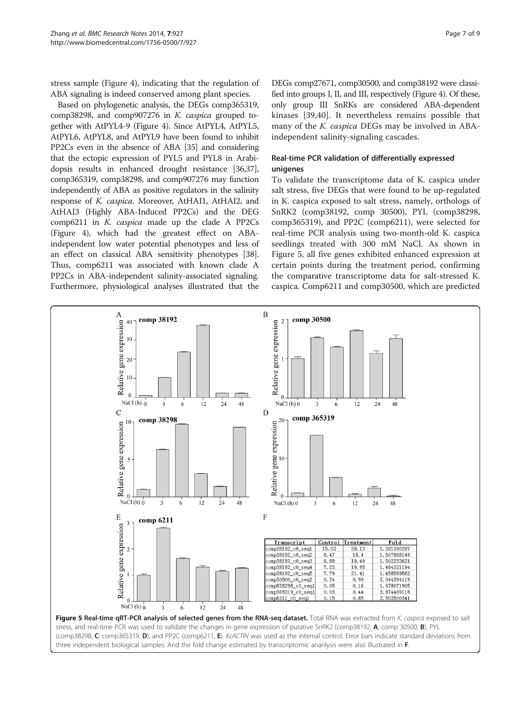stress sample (Figure [4\)](#page-5-0), indicating that the regulation of ABA signaling is indeed conserved among plant species.

Based on phylogenetic analysis, the DEGs comp365319, comp38298, and comp907276 in K. caspica grouped together with AtPYL4-9 (Figure [4](#page-5-0)). Since AtPYL4, AtPYL5, AtPYL6, AtPYL8, and AtPYL9 have been found to inhibit PP2Cs even in the absence of ABA [[35](#page-8-0)] and considering that the ectopic expression of PYL5 and PYL8 in Arabidopsis results in enhanced drought resistance [\[36,37](#page-8-0)], comp365319, comp38298, and comp907276 may function independently of ABA as positive regulators in the salinity response of K. caspica. Moreover, AtHAI1, AtHAI2, and AtHAI3 (Highly ABA-Induced PP2Cs) and the DEG comp6211 in K. caspica made up the clade A PP2Cs (Figure [4\)](#page-5-0), which had the greatest effect on ABAindependent low water potential phenotypes and less of an effect on classical ABA sensitivity phenotypes [[38](#page-8-0)]. Thus, comp6211 was associated with known clade A PP2Cs in ABA-independent salinity-associated signaling. Furthermore, physiological analyses illustrated that the DEGs comp27671, comp30500, and comp38192 were classified into groups I, II, and III, respectively (Figure [4\)](#page-5-0). Of these, only group III SnRKs are considered ABA-dependent kinases [\[39](#page-8-0),[40\]](#page-8-0). It nevertheless remains possible that many of the K. caspica DEGs may be involved in ABAindependent salinity-signaling cascades.

## Real-time PCR validation of differentially expressed unigenes

To validate the transcriptome data of K. caspica under salt stress, five DEGs that were found to be up-regulated in K. caspica exposed to salt stress, namely, orthologs of SnRK2 (comp38192, comp 30500), PYL (comp38298, comp365319), and PP2C (comp6211), were selected for real-time PCR analysis using two-month-old K. caspica seedlings treated with 300 mM NaCl. As shown in Figure 5, all five genes exhibited enhanced expression at certain points during the treatment period, confirming the comparative transcriptome data for salt-stressed K. caspica. Comp6211 and comp30500, which are predicted

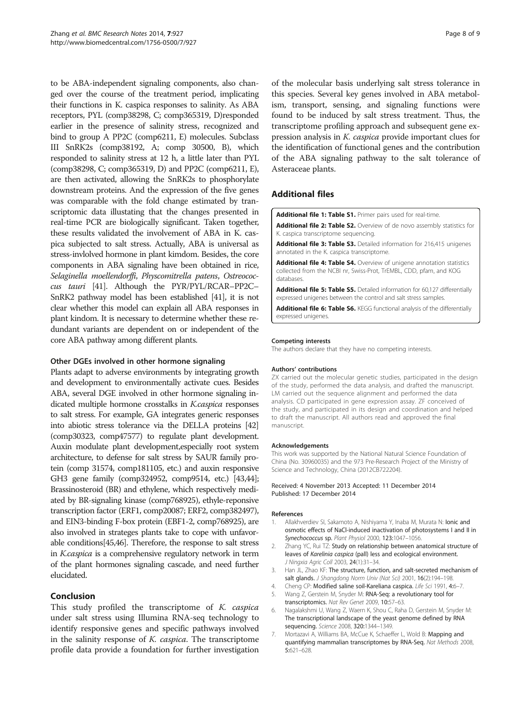<span id="page-7-0"></span>to be ABA-independent signaling components, also changed over the course of the treatment period, implicating their functions in K. caspica responses to salinity. As ABA receptors, PYL (comp38298, C; comp365319, D)responded earlier in the presence of salinity stress, recognized and bind to group A PP2C (comp6211, E) molecules. Subclass III SnRK2s (comp38192, A; comp 30500, B), which responded to salinity stress at 12 h, a little later than PYL (comp38298, C; comp365319, D) and PP2C (comp6211, E), are then activated, allowing the SnRK2s to phosphorylate downstream proteins. And the expression of the five genes was comparable with the fold change estimated by transcriptomic data illustating that the changes presented in real-time PCR are biologically significant. Taken together, these results validated the involvement of ABA in K. caspica subjected to salt stress. Actually, ABA is universal as stress-invlolved hormone in plant kimdom. Besides, the core components in ABA signaling have been obtained in rice, Selaginella moellendorffi, Physcomitrella patens, Ostreococcus tauri [\[41\]](#page-8-0). Although the PYR/PYL/RCAR–PP2C– SnRK2 pathway model has been established [\[41](#page-8-0)], it is not clear whether this model can explain all ABA responses in plant kindom. It is necessary to determine whether these redundant variants are dependent on or independent of the core ABA pathway among different plants.

## Other DGEs involved in other hormone signaling

Plants adapt to adverse environments by integrating growth and development to environmentally activate cues. Besides ABA, several DGE involved in other hormone signaling indicated multiple hormone crosstalks in K.caspica responses to salt stress. For example, GA integrates generic responses into abiotic stress tolerance via the DELLA proteins [\[42](#page-8-0)] (comp30323, comp47577) to regulate plant development. Auxin modulate plant development,especially root system architecture, to defense for salt stress by SAUR family protein (comp 31574, comp181105, etc.) and auxin responsive GH3 gene family (comp324952, comp9514, etc.) [\[43,44\]](#page-8-0); Brassinosteroid (BR) and ethylene, which respectively mediated by BR-signaling kinase (comp768925), ethyle-reponsive transcription factor (ERF1, comp20087; ERF2, comp382497), and EIN3-binding F-box protein (EBF1-2, comp768925), are also involved in strateges plants take to cope with unfavorable conditions[[45,46\]](#page-8-0). Therefore, the response to salt stress in K.caspica is a comprehensive regulatory network in term of the plant hormones signaling cascade, and need further elucidated.

## Conclusion

This study profiled the transcriptome of *K. caspica* under salt stress using Illumina RNA-seq technology to identify responsive genes and specific pathways involved in the salinity response of K. caspica. The transcriptome profile data provide a foundation for further investigation of the molecular basis underlying salt stress tolerance in this species. Several key genes involved in ABA metabolism, transport, sensing, and signaling functions were found to be induced by salt stress treatment. Thus, the transcriptome profiling approach and subsequent gene expression analysis in K. caspica provide important clues for the identification of functional genes and the contribution of the ABA signaling pathway to the salt tolerance of Asteraceae plants.

## Additional files

[Additional file 1: Table S1.](http://www.biomedcentral.com/content/supplementary/1756-0500-7-927-S1.docx) Primer pairs used for real-time.

[Additional file 2: Table S2.](http://www.biomedcentral.com/content/supplementary/1756-0500-7-927-S2.doc) Overview of de novo assembly statistics for K. caspica transcriptome sequencing.

[Additional file 3: Table S3.](http://www.biomedcentral.com/content/supplementary/1756-0500-7-927-S3.zip) Detailed information for 216,415 unigenes annotated in the K. caspica transcriptome.

[Additional file 4: Table S4.](http://www.biomedcentral.com/content/supplementary/1756-0500-7-927-S4.doc) Overview of unigene annotation statistics collected from the NCBI nr, Swiss-Prot, TrEMBL, CDD, pfam, and KOG databases.

[Additional file 5: Table S5.](http://www.biomedcentral.com/content/supplementary/1756-0500-7-927-S5.xlsx) Detailed information for 60,127 differentially expressed unigenes between the control and salt stress samples.

[Additional file 6: Table S6.](http://www.biomedcentral.com/content/supplementary/1756-0500-7-927-S6.xlsx) KEGG functional analysis of the differentially expressed unigenes.

#### Competing interests

The authors declare that they have no competing interests.

#### Authors' contributions

ZX carried out the molecular genetic studies, participated in the design of the study, performed the data analysis, and drafted the manuscript. LM carried out the sequence alignment and performed the data analysis. CD participated in gene expression assay. ZF conceived of the study, and participated in its design and coordination and helped to draft the manuscript. All authors read and approved the final manuscript.

#### Acknowledgements

This work was supported by the National Natural Science Foundation of China (No. 30960035) and the 973 Pre-Research Project of the Ministry of Science and Technology, China (2012CB722204).

#### Received: 4 November 2013 Accepted: 11 December 2014 Published: 17 December 2014

#### References

- Allakhverdiev SI, Sakamoto A, Nishiyama Y, Inaba M, Murata N: Ionic and osmotic effects of NaCl-induced inactivation of photosystems I and II in Synechococcus sp. Plant Physiol 2000, 123:1047–1056.
- 2. Zhang YC, Rui TZ: Study on relationship between anatomical structure of leaves of Karelinia caspica (pall) less and ecological environment. J Ningxia Agric Coll 2003, 24(1):31–34.
- 3. Han JL, Zhao KF: The structure, function, and salt-secreted mechanism of salt glands. J Shangdong Norm Univ (Nat Sci) 2001, 16(2):194-198.
- 4. Cheng CP: Modified saline soil-Kareliana caspica. Life Sci 1991, 4:6–7.
- 5. Wang Z, Gerstein M, Snyder M: RNA-Seq: a revolutionary tool for transcriptomics. Nat Rev Genet 2009, 10:57–63.
- 6. Nagalakshmi U, Wang Z, Waern K, Shou C, Raha D, Gerstein M, Snyder M: The transcriptional landscape of the yeast genome defined by RNA sequencing. Science 2008, 320:1344–1349.
- 7. Mortazavi A, Williams BA, McCue K, Schaeffer L, Wold B: Mapping and quantifying mammalian transcriptomes by RNA-Seq. Nat Methods 2008, 5:621–628.